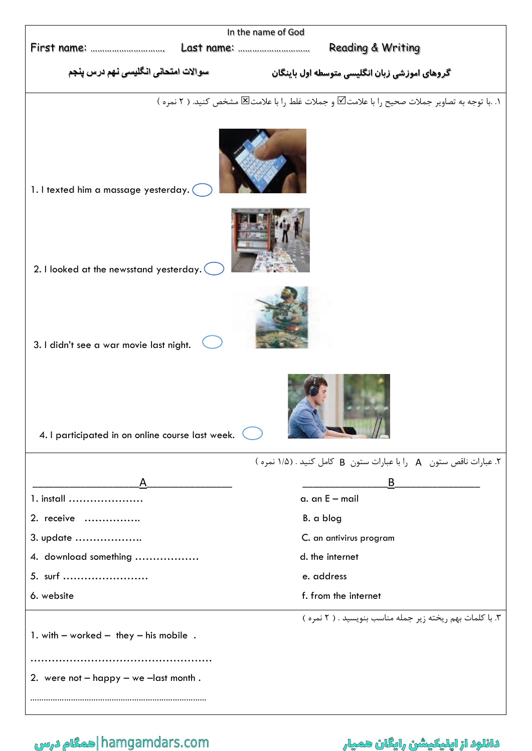| In the name of God                                                |                                                                                              |
|-------------------------------------------------------------------|----------------------------------------------------------------------------------------------|
| <b>Reading &amp; Writing</b>                                      |                                                                                              |
| سوالات امتحان <i>ی</i> انگلی <i>سی</i> نهم درس پنجم               | گروهای اموزشی زبان انگلیسی متوسطه اول باینگان                                                |
|                                                                   | ١. .با توجه به تصاوير جملات صحيح را با علامت⊠ و جملات غلط را با علامت⊠ مشخص كنيد. ( ٢ نمره ) |
| 1. I texted him a massage yesterday.                              |                                                                                              |
| 2. I looked at the newsstand yesterday.                           |                                                                                              |
| 3. I didn't see a war movie last night.                           |                                                                                              |
| 4. I participated in on online course last week.                  |                                                                                              |
| Y. عبارات ناقص ستون A را با عبارات ستون B كامل كنيد . (١/٥ نمره ) |                                                                                              |
| $\mathsf{A}$                                                      | B                                                                                            |
| 1. install                                                        | $a.$ an $E$ – mail                                                                           |
| 2. receive                                                        | B. a blog                                                                                    |
| 3. update                                                         | C. an antivirus program                                                                      |
| 4. download something                                             | d. the internet                                                                              |
| 5. surf                                                           | e. address                                                                                   |
| 6. website                                                        | f. from the internet                                                                         |
| 1. with $-$ worked $-$ they $-$ his mobile.                       | ۳. با کلمات بهم ریخته زیر جمله مناسب بنویسید . ( ۲ نمره )                                    |
|                                                                   |                                                                                              |
| 2. were not $-$ happy $-$ we $-$ last month.                      |                                                                                              |
|                                                                   |                                                                                              |

دانلود از اپلیکیشن رایگان همیار com.hamgamdars.com. همگام درس